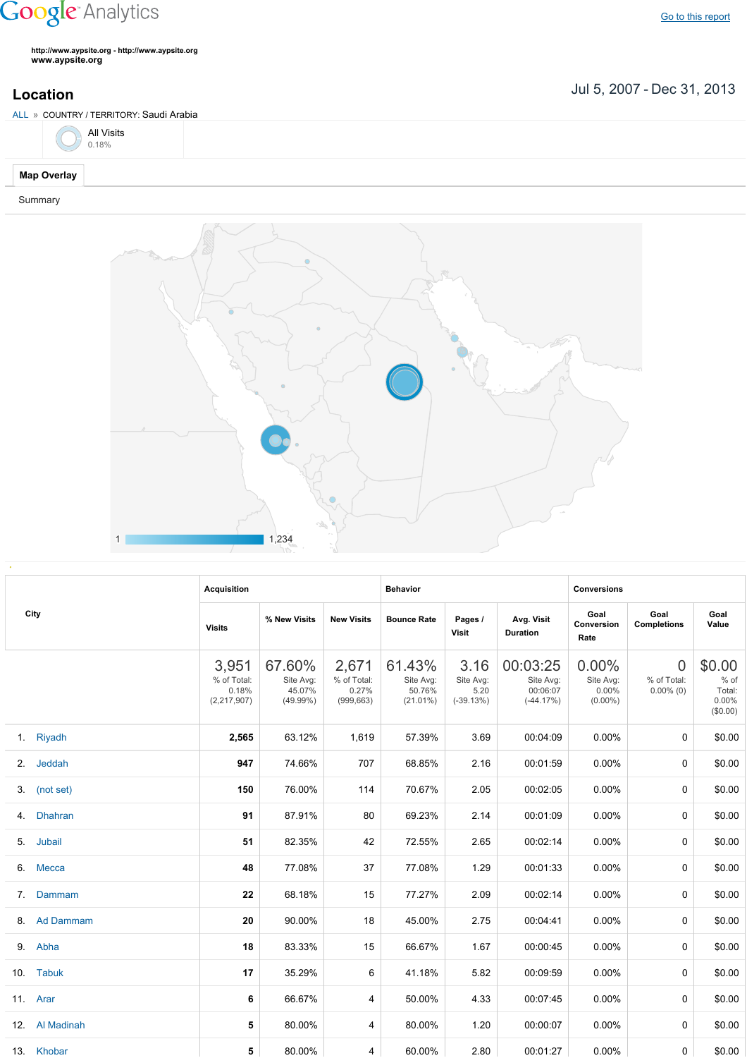## **Google** Analytics

Go to this [report](https://www.google.com/analytics/web/?utm_source=pdfReportLink#report/visitors-geo/a2184169w3912412p4016214/%3F_u.date00%3D20070705%26_u.date01%3D20131231%26geo-table.plotKeys%3D%5B%5D%26geo-table.rowStart%3D0%26geo-table.rowCount%3D1000%26_r.drilldown%3Danalytics.country%3ASA%26geo-segmentExplorer.segmentId%3Danalytics.city/)

**http://www.aypsite.org http://www.aypsite.org www.aypsite.org**

Jul 5, 2007 Dec 31, 2013 **Location**



Summary



|    | City           | <b>Acquisition</b>                             |                                              |                                             | <b>Behavior</b>                              |                                          |                                                  | <b>Conversions</b>                           |                                               |                                                 |
|----|----------------|------------------------------------------------|----------------------------------------------|---------------------------------------------|----------------------------------------------|------------------------------------------|--------------------------------------------------|----------------------------------------------|-----------------------------------------------|-------------------------------------------------|
|    |                | <b>Visits</b>                                  | % New Visits                                 | <b>New Visits</b>                           | <b>Bounce Rate</b>                           | Pages /<br><b>Visit</b>                  | Avg. Visit<br><b>Duration</b>                    | Goal<br>Conversion<br>Rate                   | Goal<br><b>Completions</b>                    | Goal<br>Value                                   |
|    |                | 3,951<br>% of Total:<br>0.18%<br>(2, 217, 907) | 67.60%<br>Site Avg:<br>45.07%<br>$(49.99\%)$ | 2,671<br>% of Total:<br>0.27%<br>(999, 663) | 61.43%<br>Site Avg:<br>50.76%<br>$(21.01\%)$ | 3.16<br>Site Avg:<br>5.20<br>$(-39.13%)$ | 00:03:25<br>Site Avg:<br>00:06:07<br>$(-44.17%)$ | 0.00%<br>Site Avg:<br>$0.00\%$<br>$(0.00\%)$ | $\overline{0}$<br>% of Total:<br>$0.00\%$ (0) | \$0.00<br>$%$ of<br>Total:<br>0.00%<br>(\$0.00) |
|    | 1. Riyadh      | 2,565                                          | 63.12%                                       | 1,619                                       | 57.39%                                       | 3.69                                     | 00:04:09                                         | 0.00%                                        | $\Omega$                                      | \$0.00                                          |
|    | 2. Jeddah      | 947                                            | 74.66%                                       | 707                                         | 68.85%                                       | 2.16                                     | 00:01:59                                         | 0.00%                                        | $\Omega$                                      | \$0.00                                          |
|    | 3. (not set)   | 150                                            | 76.00%                                       | 114                                         | 70.67%                                       | 2.05                                     | 00:02:05                                         | 0.00%                                        | $\Omega$                                      | \$0.00                                          |
| 4. | <b>Dhahran</b> | 91                                             | 87.91%                                       | 80                                          | 69.23%                                       | 2.14                                     | 00:01:09                                         | 0.00%                                        | $\Omega$                                      | \$0.00                                          |
|    | 5. Jubail      | 51                                             | 82.35%                                       | 42                                          | 72.55%                                       | 2.65                                     | 00:02:14                                         | 0.00%                                        | $\Omega$                                      | \$0.00                                          |
|    | 6. Mecca       | 48                                             | 77.08%                                       | 37                                          | 77.08%                                       | 1.29                                     | 00:01:33                                         | 0.00%                                        | $\Omega$                                      | \$0.00                                          |
| 7. | Dammam         | 22                                             | 68.18%                                       | 15                                          | 77.27%                                       | 2.09                                     | 00:02:14                                         | 0.00%                                        | $\Omega$                                      | \$0.00                                          |
|    | 8. Ad Dammam   | 20                                             | 90.00%                                       | 18                                          | 45.00%                                       | 2.75                                     | 00:04:41                                         | 0.00%                                        | $\Omega$                                      | \$0.00                                          |
|    | 9. Abha        | 18                                             | 83.33%                                       | 15                                          | 66.67%                                       | 1.67                                     | 00:00:45                                         | $0.00\%$                                     | $\Omega$                                      | \$0.00                                          |
|    | 10. Tabuk      | 17                                             | 35.29%                                       | 6                                           | 41.18%                                       | 5.82                                     | 00:09:59                                         | 0.00%                                        | 0                                             | \$0.00                                          |
|    | 11. Arar       | 6                                              | 66.67%                                       | 4                                           | 50.00%                                       | 4.33                                     | 00:07:45                                         | 0.00%                                        | $\Omega$                                      | \$0.00                                          |
|    | 12. Al Madinah | 5                                              | 80.00%                                       | 4                                           | 80.00%                                       | 1.20                                     | 00:00:07                                         | $0.00\%$                                     | $\Omega$                                      | \$0.00                                          |
|    | 13. Khobar     | 5                                              | 80.00%                                       | 4                                           | 60.00%                                       | 2.80                                     | 00:01:27                                         | $0.00\%$                                     | 0                                             | \$0.00                                          |